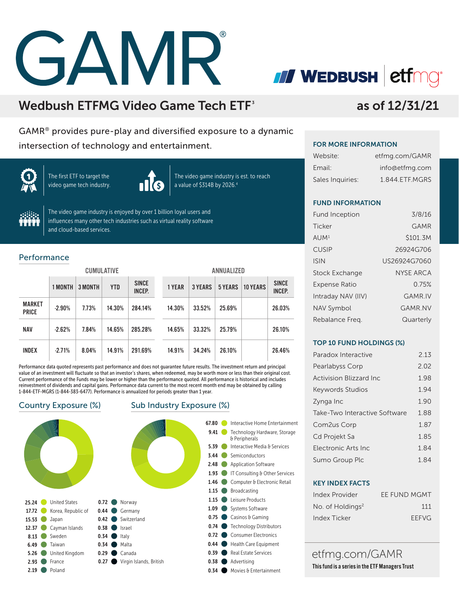# GAMR

Wedbush ETFMG Video Game Tech ETF<sup>3</sup>

GAMR® provides pure-play and diversified exposure to a dynamic intersection of technology and entertainment.



The first ETF to target the video game tech industry.



The video game industry is est. to reach a value of \$314B by 2026.4



The video game industry is enjoyed by over 1 billion loyal users and influences many other tech industries such as virtual reality software and cloud-based services.

### Performance

|                               | <b>CUMULATIVE</b> |         |            |                               | ANNUALIZED |                |                |                 |                               |
|-------------------------------|-------------------|---------|------------|-------------------------------|------------|----------------|----------------|-----------------|-------------------------------|
|                               | 1 MONTH           | 3 MONTH | <b>YTD</b> | <b>SINCE</b><br><b>INCEP.</b> | 1 YEAR     | <b>3 YEARS</b> | <b>5 YEARS</b> | <b>10 YEARS</b> | <b>SINCE</b><br><b>INCEP.</b> |
| <b>MARKET</b><br><b>PRICE</b> | $-2.90%$          | 7.73%   | 14.30%     | 284.14%                       | 14.30%     | 33.52%         | 25.69%         |                 | 26.03%                        |
| <b>NAV</b>                    | $-2.62%$          | 7.84%   | 14.65%     | 285.28%                       | 14.65%     | 33.32%         | 25.79%         |                 | 26.10%                        |
| <b>INDEX</b>                  | $-2.71%$          | 8.04%   | 14.91%     | 291.69%                       | 14.91%     | 34.24%         | 26.10%         |                 | 26.46%                        |

Performance data quoted represents past performance and does not guarantee future results. The investment return and principal value of an investment will fluctuate so that an investor's shares, when redeemed, may be worth more or less than their original cost. Current performance of the Funds may be lower or higher than the performance quoted. All performance is historical and includes reinvestment of dividends and capital gains. Performance data current to the most recent month end may be obtained by calling 1-844-ETF-MGRS (1-844-383-6477). Performance is annualized for periods greater than 1 year.



### Country Exposure (%) Sub Industry Exposure (%)



# as of 12/31/21

### FOR MORE INFORMATION

*II* WEDBUSH etfmg

| Website:         | etfmg.com/GAMR |
|------------------|----------------|
| Email:           | info@etfmg.com |
| Sales Inquiries: | 1.844.ETF.MGRS |

### FUND INFORMATION

| <b>Fund Inception</b> | 3/8/16         |
|-----------------------|----------------|
| Ticker                | GAMR           |
| AUM <sup>1</sup>      | \$101.3M       |
| <b>CUSIP</b>          | 26924G706      |
| <b>ISIN</b>           | US26924G7060   |
| <b>Stock Exchange</b> | NYSE ARCA      |
| <b>Expense Ratio</b>  | 0.75%          |
| Intraday NAV (IIV)    | <b>GAMR.IV</b> |
| <b>NAV Symbol</b>     | GAMR NV        |
| Rebalance Freg.       | Quarterly      |

### TOP 10 FUND HOLDINGS (%)

| Paradox Interactive           | 2 13 |
|-------------------------------|------|
| Pearlabyss Corp               | 2.02 |
| Activision Blizzard Inc       | 1.98 |
| <b>Keywords Studios</b>       | 194  |
| Zynga Inc                     | 1.90 |
| Take-Two Interactive Software | 188  |
| Com2us Corp                   | 1.87 |
| Cd Projekt Sa                 | 1.85 |
| Flectronic Arts Inc.          | 184  |
| Sumo Group Plc                | 1 84 |

### KEY INDEX FACTS

| Index Provider               | EE FUND MGMT |
|------------------------------|--------------|
| No. of Holdings <sup>2</sup> | 111          |
| Index Ticker                 | <b>FFFVG</b> |

etfmg.com/GAMR This fund is a series in the ETF Managers Trust